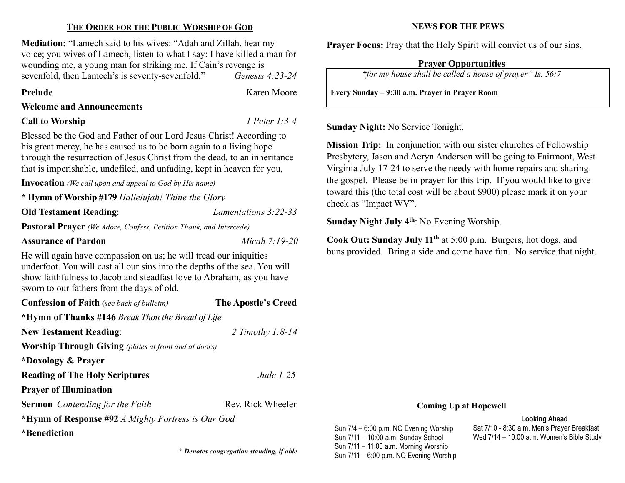## THE ORDER FOR THE PUBLIC WORSHIP OF GOD

Mediation: "Lamech said to his wives: "Adah and Zillah, hear my voice; you wives of Lamech, listen to what I say: I have killed a man for wounding me, a young man for striking me. If Cain's revenge is sevenfold, then Lamech's is seventy-sevenfold." Genesis 4:23-24

Prelude **Karen Moore** 

#### Welcome and Announcements

### Call to Worship *I Peter 1:3-4*

Blessed be the God and Father of our Lord Jesus Christ! According to his great mercy, he has caused us to be born again to a living hope through the resurrection of Jesus Christ from the dead, to an inheritance that is imperishable, undefiled, and unfading, kept in heaven for you,

Invocation (We call upon and appeal to God by His name)

\* Hymn of Worship #179 Hallelujah! Thine the Glory

Old Testament Reading: Lamentations 3:22-33

Pastoral Prayer (We Adore, Confess, Petition Thank, and Intercede)

Assurance of Pardon Micah 7:19-20

He will again have compassion on us; he will tread our iniquities underfoot. You will cast all our sins into the depths of the sea. You will show faithfulness to Jacob and steadfast love to Abraham, as you have sworn to our fathers from the days of old.

Confession of Faith (see back of bulletin) The Apostle's Creed \*Hymn of Thanks #146 Break Thou the Bread of Life New Testament Reading: 2 Timothy 1:8-14

Worship Through Giving (plates at front and at doors)

\*Doxology & Prayer

**Reading of The Holy Scriptures** Jude 1-25

Prayer of Illumination

Sermon Contending for the Faith Rev. Rick Wheeler

\*Hymn of Response #92 A Mighty Fortress is Our God

\*Benediction

**EXECUTE:** Penotes congregation standing, if able<br>Sun 7/11 – 6:00 p.m. NO Evening Worship

#### NEWS FOR THE PEWS

Prayer Focus: Pray that the Holy Spirit will convict us of our sins.

# Prayer Opportunities

"for my house shall be called a house of prayer" Is. 56:7

Every Sunday – 9:30 a.m. Prayer in Prayer Room

Sunday Night: No Service Tonight.

Mission Trip: In conjunction with our sister churches of Fellowship Presbytery, Jason and Aeryn Anderson will be going to Fairmont, West Virginia July 17-24 to serve the needy with home repairs and sharing the gospel. Please be in prayer for this trip. If you would like to give toward this (the total cost will be about \$900) please mark it on your check as "Impact WV".

Sunday Night July  $4<sup>th</sup>$ : No Evening Worship.

Sun 7/4 – 6:00 p.m. NO Evening Worship Sun 7/11 – 10:00 a.m. Sunday School Sun 7/11 – 11:00 a.m. Morning Worship

Cook Out: Sunday July 11th at 5:00 p.m. Burgers, hot dogs, and buns provided. Bring a side and come have fun. No service that night.

#### Coming Up at Hopewell

Looking Ahead Sat 7/10 - 8:30 a.m. Men's Prayer Breakfast Wed 7/14 – 10:00 a.m. Women's Bible Study